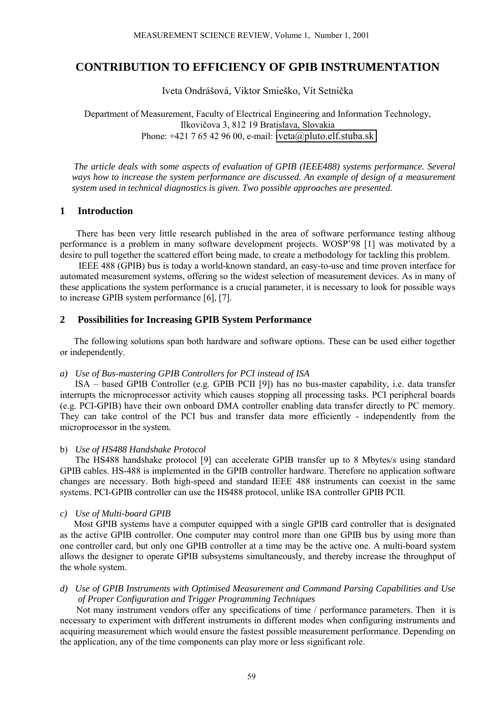# **CONTRIBUTION TO EFFICIENCY OF GPIB INSTRUMENTATION**

Iveta Ondrášová, Viktor Smieško, Vít Setnička

Department of Measurement, Faculty of Electrical Engineering and Information Technology, Ilkovičova 3, 812 19 Bratislava, Slovakia Phone:  $+421$  7 65 42 96 00, e-mail: [iveta@pluto.elf.stuba.sk](mailto:iveta@pluto.elf.stuba.sk)

 *The article deals with some aspects of evaluation of GPIB (IEEE488) systems performance. Several ways how to increase the system performance are discussed. An example of design of a measurement system used in technical diagnostics is given. Two possible approaches are presented.*

# **1 Introduction**

 There has been very little research published in the area of software performance testing althoug performance is a problem in many software development projects. WOSP'98 [1] was motivated by a desire to pull together the scattered effort being made, to create a methodology for tackling this problem.

 IEEE 488 (GPIB) bus is today a world-known standard, an easy-to-use and time proven interface for automated measurement systems, offering so the widest selection of measurement devices. As in many of these applications the system performance is a crucial parameter, it is necessary to look for possible ways to increase GPIB system performance [6], [7].

# **2 Possibilities for Increasing GPIB System Performance**

 The following solutions span both hardware and software options. These can be used either together or independently.

#### *a) Use of Bus-mastering GPIB Controllers for PCI instead of ISA*

ISA – based GPIB Controller (e.g. GPIB PCII [9]) has no bus-master capability, i.e. data transfer interrupts the microprocessor activity which causes stopping all processing tasks. PCI peripheral boards (e.g. PCI-GPIB) have their own onboard DMA controller enabling data transfer directly to PC memory. They can take control of the PCI bus and transfer data more efficiently - independently from the microprocessor in the system.

#### b) *Use of HS488 Handshake Protocol*

The HS488 handshake protocol [9] can accelerate GPIB transfer up to 8 Mbytes/s using standard GPIB cables. HS-488 is implemented in the GPIB controller hardware. Therefore no application software changes are necessary. Both high-speed and standard IEEE 488 instruments can coexist in the same systems. PCI-GPIB controller can use the HS488 protocol, unlike ISA controller GPIB PCII.

#### *c) Use of Multi-board GPIB*

 Most GPIB systems have a computer equipped with a single GPIB card controller that is designated as the active GPIB controller. One computer may control more than one GPIB bus by using more than one controller card, but only one GPIB controller at a time may be the active one. A multi-board system allows the designer to operate GPIB subsystems simultaneously, and thereby increase the throughput of the whole system.

## *d) Use of GPIB Instruments with Optimised Measurement and Command Parsing Capabilities and Use of Proper Configuration and Trigger Programming Techniques*

 Not many instrument vendors offer any specifications of time / performance parameters. Then it is necessary to experiment with different instruments in different modes when configuring instruments and acquiring measurement which would ensure the fastest possible measurement performance. Depending on the application, any of the time components can play more or less significant role.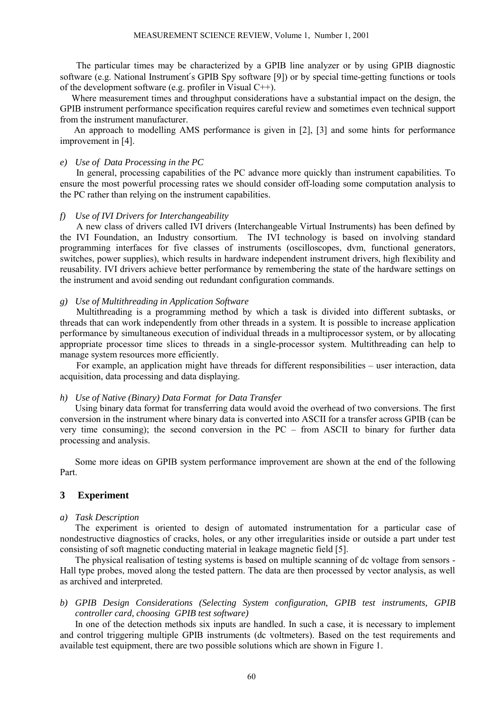The particular times may be characterized by a GPIB line analyzer or by using GPIB diagnostic software (e.g. National Instrument′s GPIB Spy software [9]) or by special time-getting functions or tools of the development software (e.g. profiler in Visual C++).

 Where measurement times and throughput considerations have a substantial impact on the design, the GPIB instrument performance specification requires careful review and sometimes even technical support from the instrument manufacturer.

 An approach to modelling AMS performance is given in [2], [3] and some hints for performance improvement in [4].

# *e) Use of Data Processing in the PC*

 In general, processing capabilities of the PC advance more quickly than instrument capabilities. To ensure the most powerful processing rates we should consider off-loading some computation analysis to the PC rather than relying on the instrument capabilities.

#### *f) Use of IVI Drivers for Interchangeability*

 A new class of drivers called IVI drivers (Interchangeable Virtual Instruments) has been defined by the IVI Foundation, an Industry consortium. The IVI technology is based on involving standard programming interfaces for five classes of instruments (oscilloscopes, dvm, functional generators, switches, power supplies), which results in hardware independent instrument drivers, high flexibility and reusability. IVI drivers achieve better performance by remembering the state of the hardware settings on the instrument and avoid sending out redundant configuration commands.

#### *g) Use of Multithreading in Application Software*

 Multithreading is a programming method by which a task is divided into different subtasks, or threads that can work independently from other threads in a system. It is possible to increase application performance by simultaneous execution of individual threads in a multiprocessor system, or by allocating appropriate processor time slices to threads in a single-processor system. Multithreading can help to manage system resources more efficiently.

For example, an application might have threads for different responsibilities – user interaction, data acquisition, data processing and data displaying.

#### *h) Use of Native (Binary) Data Format for Data Transfer*

Using binary data format for transferring data would avoid the overhead of two conversions. The first conversion in the instrument where binary data is converted into ASCII for a transfer across GPIB (can be very time consuming); the second conversion in the  $PC$  – from ASCII to binary for further data processing and analysis.

Some more ideas on GPIB system performance improvement are shown at the end of the following Part.

# **3 Experiment**

#### *a) Task Description*

The experiment is oriented to design of automated instrumentation for a particular case of nondestructive diagnostics of cracks, holes, or any other irregularities inside or outside a part under test consisting of soft magnetic conducting material in leakage magnetic field [5].

The physical realisation of testing systems is based on multiple scanning of dc voltage from sensors - Hall type probes, moved along the tested pattern. The data are then processed by vector analysis, as well as archived and interpreted.

# *b) GPIB Design Considerations (Selecting System configuration, GPIB test instruments, GPIB controller card, choosing GPIB test software)*

In one of the detection methods six inputs are handled. In such a case, it is necessary to implement and control triggering multiple GPIB instruments (dc voltmeters). Based on the test requirements and available test equipment, there are two possible solutions which are shown in Figure 1.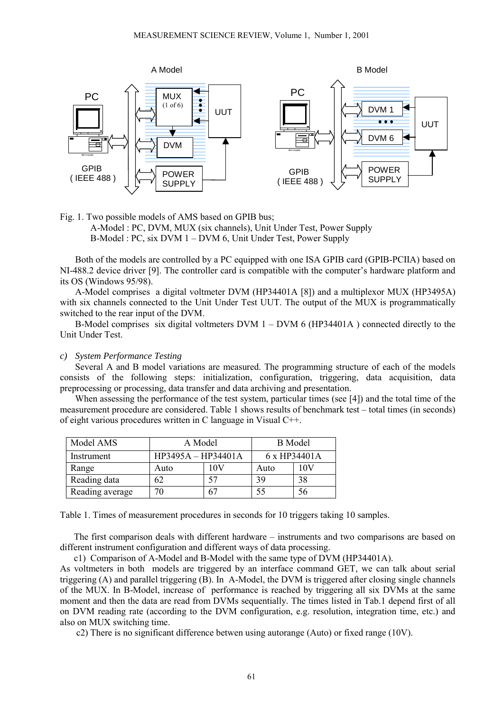

Fig. 1. Two possible models of AMS based on GPIB bus; A-Model : PC, DVM, MUX (six channels), Unit Under Test, Power Supply  $B\text{-Model}$ : PC, six DVM 1 – DVM 6, Unit Under Test, Power Supply

Both of the models are controlled by a PC equipped with one ISA GPIB card (GPIB-PCIIA) based on NI-488.2 device driver [9]. The controller card is compatible with the computer's hardware platform and its OS (Windows 95/98).

A-Model comprises a digital voltmeter DVM (HP34401A [8]) and a multiplexor MUX (HP3495A) with six channels connected to the Unit Under Test UUT. The output of the MUX is programmatically switched to the rear input of the DVM.

B-Model comprises six digital voltmeters DVM  $1 - DVM$  6 (HP34401A) connected directly to the Unit Under Test.

#### *c) System Performance Testing*

Several A and B model variations are measured. The programming structure of each of the models consists of the following steps: initialization, configuration, triggering, data acquisition, data preprocessing or processing, data transfer and data archiving and presentation.

When assessing the performance of the test system, particular times (see [4]) and the total time of the measurement procedure are considered. Table 1 shows results of benchmark test – total times (in seconds) of eight various procedures written in C language in Visual C++.

| Model AMS       | A Model            |     | <b>B</b> Model |     |
|-----------------|--------------------|-----|----------------|-----|
| Instrument      | HP3495A - HP34401A |     | 6 x HP34401A   |     |
| Range           | Auto               | 10V | Auto           | 10V |
| Reading data    | 62                 | 57  | 39             | 38  |
| Reading average | 70                 | 67  | 55             | 56  |

Table 1. Times of measurement procedures in seconds for 10 triggers taking 10 samples.

The first comparison deals with different hardware  $-$  instruments and two comparisons are based on different instrument configuration and different ways of data processing.

c1) Comparison of A-Model and B-Model with the same type of DVM (HP34401A).

As voltmeters in both models are triggered by an interface command GET, we can talk about serial triggering (A) and parallel triggering (B). In A-Model, the DVM is triggered after closing single channels of the MUX. In B-Model, increase of performance is reached by triggering all six DVMs at the same moment and then the data are read from DVMs sequentially. The times listed in Tab.1 depend first of all on DVM reading rate (according to the DVM configuration, e.g. resolution, integration time, etc.) and also on MUX switching time.

c2) There is no significant difference betwen using autorange (Auto) or fixed range (10V).